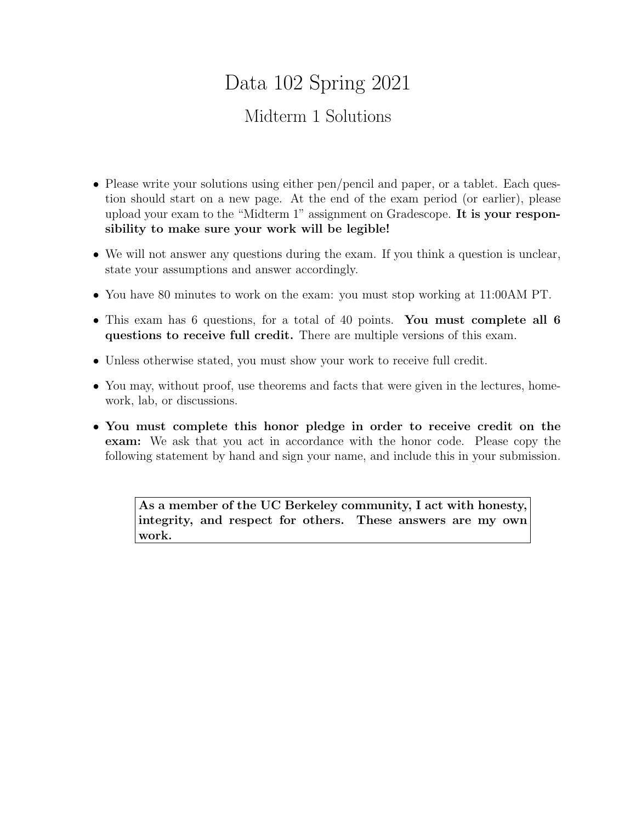# Data 102 Spring 2021

# Midterm 1 Solutions

- Please write your solutions using either pen/pencil and paper, or a tablet. Each question should start on a new page. At the end of the exam period (or earlier), please upload your exam to the "Midterm 1" assignment on Gradescope. It is your responsibility to make sure your work will be legible!
- We will not answer any questions during the exam. If you think a question is unclear, state your assumptions and answer accordingly.
- You have 80 minutes to work on the exam: you must stop working at 11:00AM PT.
- This exam has 6 questions, for a total of 40 points. You must complete all 6 questions to receive full credit. There are multiple versions of this exam.
- Unless otherwise stated, you must show your work to receive full credit.
- You may, without proof, use theorems and facts that were given in the lectures, homework, lab, or discussions.
- You must complete this honor pledge in order to receive credit on the exam: We ask that you act in accordance with the honor code. Please copy the following statement by hand and sign your name, and include this in your submission.

As a member of the UC Berkeley community, I act with honesty, integrity, and respect for others. These answers are my own work.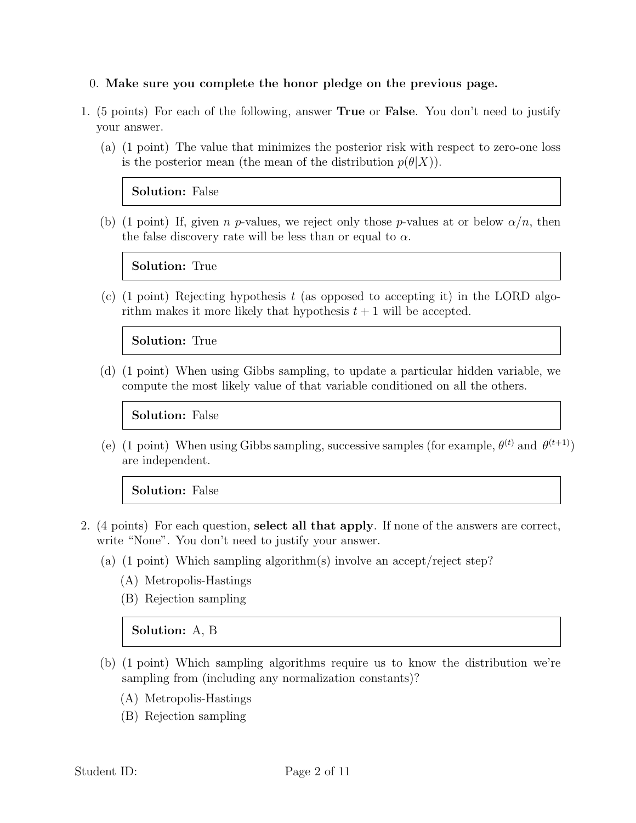#### 0. Make sure you complete the honor pledge on the previous page.

- 1. (5 points) For each of the following, answer True or False. You don't need to justify your answer.
	- (a) (1 point) The value that minimizes the posterior risk with respect to zero-one loss is the posterior mean (the mean of the distribution  $p(\theta|X)$ ).

#### Solution: False

(b) (1 point) If, given n p-values, we reject only those p-values at or below  $\alpha/n$ , then the false discovery rate will be less than or equal to  $\alpha$ .

Solution: True

(c) (1 point) Rejecting hypothesis  $t$  (as opposed to accepting it) in the LORD algorithm makes it more likely that hypothesis  $t + 1$  will be accepted.

#### Solution: True

(d) (1 point) When using Gibbs sampling, to update a particular hidden variable, we compute the most likely value of that variable conditioned on all the others.

#### Solution: False

(e) (1 point) When using Gibbs sampling, successive samples (for example,  $\theta^{(t)}$  and  $\theta^{(t+1)}$ ) are independent.

#### Solution: False

- 2. (4 points) For each question, select all that apply. If none of the answers are correct, write "None". You don't need to justify your answer.
	- (a) (1 point) Which sampling algorithm(s) involve an accept/reject step?
		- (A) Metropolis-Hastings
		- (B) Rejection sampling

#### Solution: A, B

- (b) (1 point) Which sampling algorithms require us to know the distribution we're sampling from (including any normalization constants)?
	- (A) Metropolis-Hastings
	- (B) Rejection sampling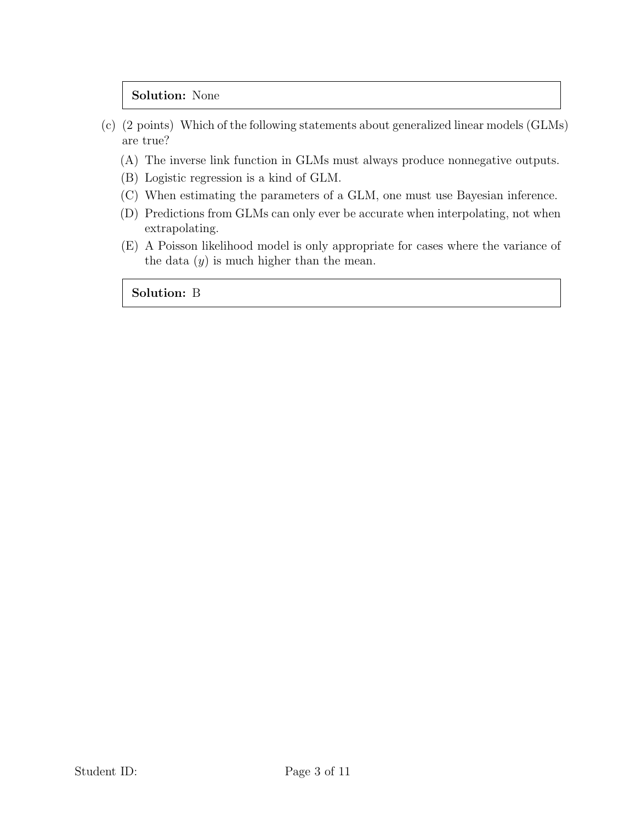#### Solution: None

- (c) (2 points) Which of the following statements about generalized linear models (GLMs) are true?
	- (A) The inverse link function in GLMs must always produce nonnegative outputs.
	- (B) Logistic regression is a kind of GLM.
	- (C) When estimating the parameters of a GLM, one must use Bayesian inference.
	- (D) Predictions from GLMs can only ever be accurate when interpolating, not when extrapolating.
	- (E) A Poisson likelihood model is only appropriate for cases where the variance of the data  $(y)$  is much higher than the mean.

Solution: B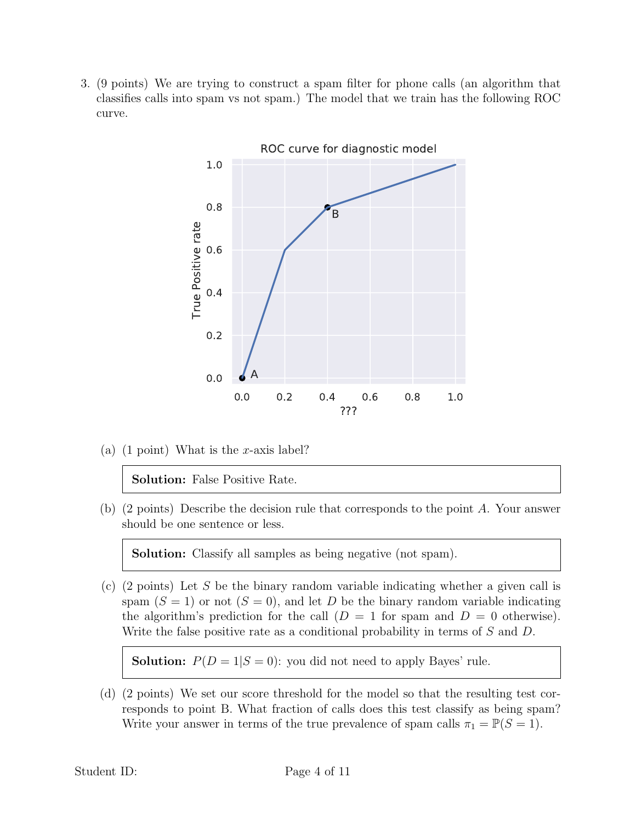3. (9 points) We are trying to construct a spam filter for phone calls (an algorithm that classifies calls into spam vs not spam.) The model that we train has the following ROC curve.



(a) (1 point) What is the x-axis label?

Solution: False Positive Rate.

(b) (2 points) Describe the decision rule that corresponds to the point A. Your answer should be one sentence or less.

Solution: Classify all samples as being negative (not spam).

(c) (2 points) Let S be the binary random variable indicating whether a given call is spam  $(S = 1)$  or not  $(S = 0)$ , and let D be the binary random variable indicating the algorithm's prediction for the call  $(D = 1$  for spam and  $D = 0$  otherwise). Write the false positive rate as a conditional probability in terms of S and D.

**Solution:**  $P(D = 1|S = 0)$ : you did not need to apply Bayes' rule.

(d) (2 points) We set our score threshold for the model so that the resulting test corresponds to point B. What fraction of calls does this test classify as being spam? Write your answer in terms of the true prevalence of spam calls  $\pi_1 = \mathbb{P}(S = 1)$ .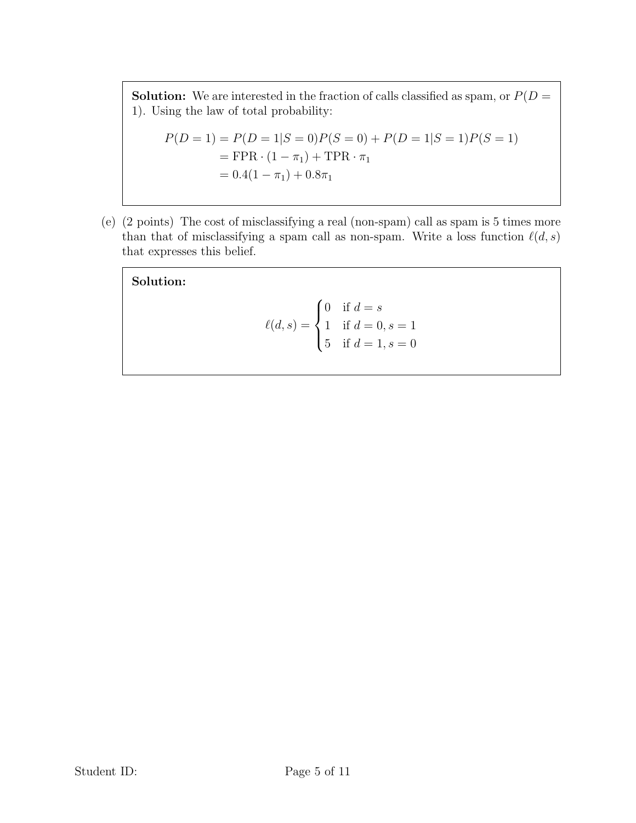**Solution:** We are interested in the fraction of calls classified as spam, or  $P(D =$ 1). Using the law of total probability:

$$
P(D = 1) = P(D = 1|S = 0)P(S = 0) + P(D = 1|S = 1)P(S = 1)
$$
  
= FPR · (1 – π<sub>1</sub>) + TPR · π<sub>1</sub>  
= 0.4(1 – π<sub>1</sub>) + 0.8π<sub>1</sub>

(e) (2 points) The cost of misclassifying a real (non-spam) call as spam is 5 times more than that of misclassifying a spam call as non-spam. Write a loss function  $\ell(d, s)$ that expresses this belief.

Solution:

$$
\ell(d, s) = \begin{cases} 0 & \text{if } d = s \\ 1 & \text{if } d = 0, s = 1 \\ 5 & \text{if } d = 1, s = 0 \end{cases}
$$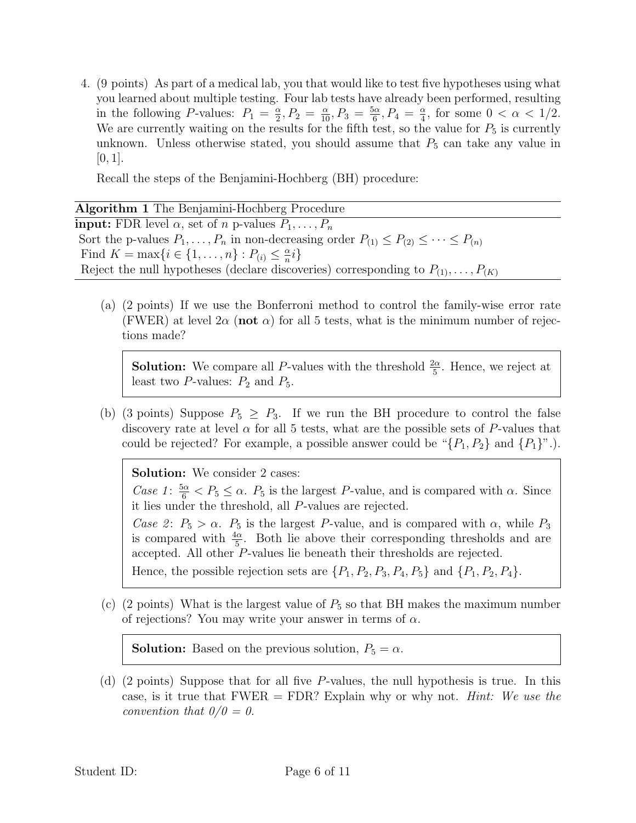4. (9 points) As part of a medical lab, you that would like to test five hypotheses using what you learned about multiple testing. Four lab tests have already been performed, resulting in the following P-values:  $P_1 = \frac{\alpha}{2}$  $\frac{\alpha}{2}, P_2 = \frac{\alpha}{10}, P_3 = \frac{5\alpha}{6}$  $\frac{6\alpha}{6}, P_4 = \frac{\alpha}{4}$  $\frac{\alpha}{4}$ , for some  $0 < \alpha < 1/2$ . We are currently waiting on the results for the fifth test, so the value for  $P_5$  is currently unknown. Unless otherwise stated, you should assume that  $P_5$  can take any value in  $[0, 1].$ 

Recall the steps of the Benjamini-Hochberg (BH) procedure:

(a) (2 points) If we use the Bonferroni method to control the family-wise error rate (FWER) at level  $2\alpha$  (not  $\alpha$ ) for all 5 tests, what is the minimum number of rejections made?

**Solution:** We compare all P-values with the threshold  $\frac{2\alpha}{5}$ . Hence, we reject at least two  $P$ -values:  $P_2$  and  $P_5$ .

(b) (3 points) Suppose  $P_5 \geq P_3$ . If we run the BH procedure to control the false discovery rate at level  $\alpha$  for all 5 tests, what are the possible sets of P-values that could be rejected? For example, a possible answer could be " $\{P_1, P_2\}$  and  $\{P_1\}$ ".).

Solution: We consider 2 cases:

Case 1:  $\frac{5\alpha}{6}$  <  $P_5 \leq \alpha$ .  $P_5$  is the largest P-value, and is compared with  $\alpha$ . Since it lies under the threshold, all P-values are rejected.

Case 2:  $P_5 > \alpha$ .  $P_5$  is the largest P-value, and is compared with  $\alpha$ , while  $P_3$ is compared with  $\frac{4\alpha}{5}$ . Both lie above their corresponding thresholds and are accepted. All other  $P$ -values lie beneath their thresholds are rejected.

Hence, the possible rejection sets are  $\{P_1, P_2, P_3, P_4, P_5\}$  and  $\{P_1, P_2, P_4\}$ .

(c) (2 points) What is the largest value of  $P_5$  so that BH makes the maximum number of rejections? You may write your answer in terms of  $\alpha$ .

**Solution:** Based on the previous solution,  $P_5 = \alpha$ .

(d) (2 points) Suppose that for all five P-values, the null hypothesis is true. In this case, is it true that  $FWER = FDR$ ? Explain why or why not. *Hint: We use the* convention that  $0/0 = 0$ .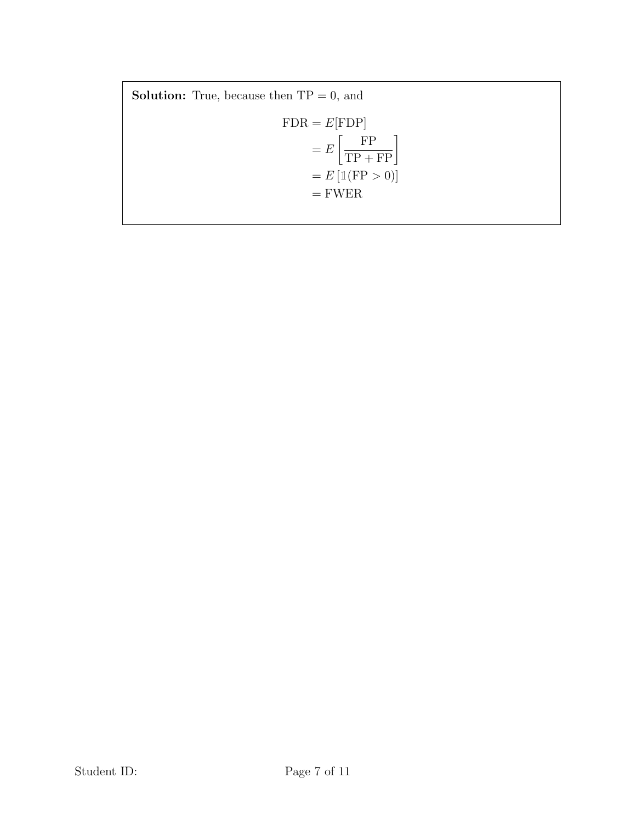**Solution:** True, because then  $TP = 0$ , and  $\mbox{FDR} = E[\mbox{FDP}]$  $=$   $E$  $\left\lceil \frac{\text{FP}}{\text{TP} + \text{FP}} \right\rceil$  $= E \left[ \mathbb{1}(\text{FP} > 0) \right]$  $=\mathrm{FWER}$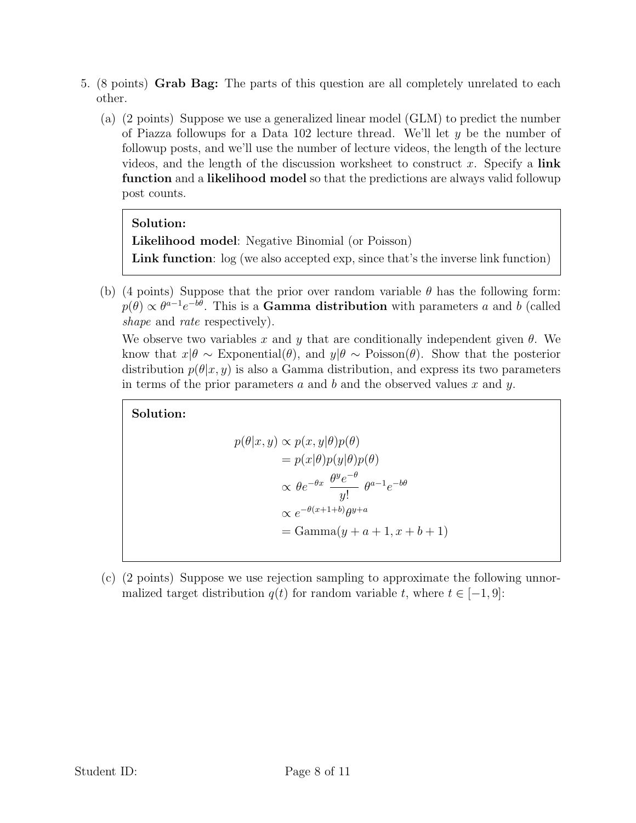- 5. (8 points) Grab Bag: The parts of this question are all completely unrelated to each other.
	- (a) (2 points) Suppose we use a generalized linear model (GLM) to predict the number of Piazza followups for a Data 102 lecture thread. We'll let  $y$  be the number of followup posts, and we'll use the number of lecture videos, the length of the lecture videos, and the length of the discussion worksheet to construct x. Specify a link function and a likelihood model so that the predictions are always valid followup post counts.

### Solution:

Likelihood model: Negative Binomial (or Poisson) Link function:  $log (we also accepted exp, since that's the inverse link function)$ 

(b) (4 points) Suppose that the prior over random variable  $\theta$  has the following form:  $p(\theta) \propto \theta^{a-1} e^{-b\theta}$ . This is a Gamma distribution with parameters a and b (called shape and rate respectively).

We observe two variables x and y that are conditionally independent given  $\theta$ . We know that  $x|\theta \sim \text{Exponential}(\theta)$ , and  $y|\theta \sim \text{Poisson}(\theta)$ . Show that the posterior distribution  $p(\theta|x,y)$  is also a Gamma distribution, and express its two parameters in terms of the prior parameters a and b and the observed values x and y.

## Solution:

$$
p(\theta|x, y) \propto p(x, y|\theta)p(\theta)
$$
  
=  $p(x|\theta)p(y|\theta)p(\theta)$   
 $\propto \theta e^{-\theta x} \frac{\theta^y e^{-\theta}}{y!} \theta^{a-1} e^{-b\theta}$   
 $\propto e^{-\theta(x+1+b)} \theta^{y+a}$   
= Gamma(y + a + 1, x + b + 1)

(c) (2 points) Suppose we use rejection sampling to approximate the following unnormalized target distribution  $q(t)$  for random variable t, where  $t \in [-1, 9]$ :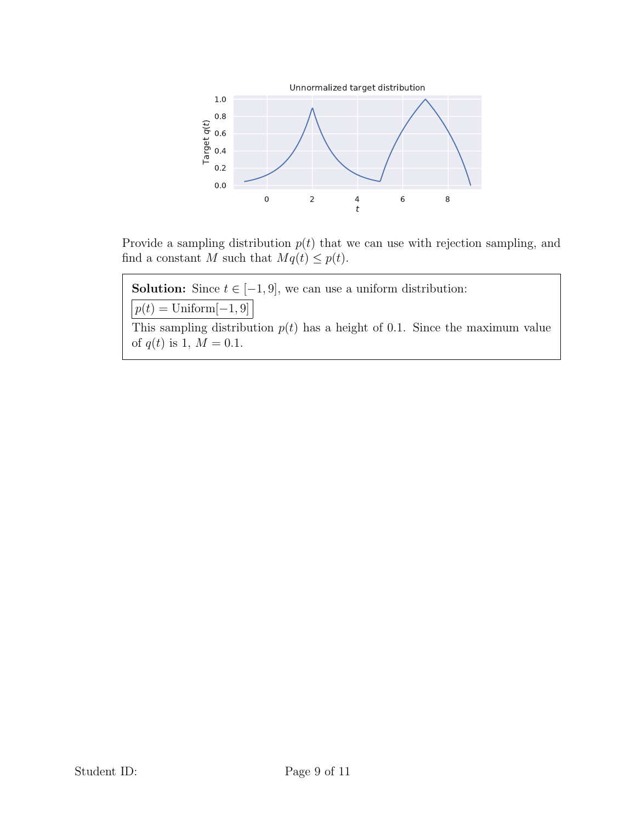

Provide a sampling distribution  $p(t)$  that we can use with rejection sampling, and find a constant M such that  $Mq(t) \leq p(t)$ .

**Solution:** Since  $t \in [-1, 9]$ , we can use a uniform distribution:

 $p(t) = \text{Uniform}[-1, 9]$ 

This sampling distribution  $p(t)$  has a height of 0.1. Since the maximum value of  $q(t)$  is 1,  $M = 0.1$ .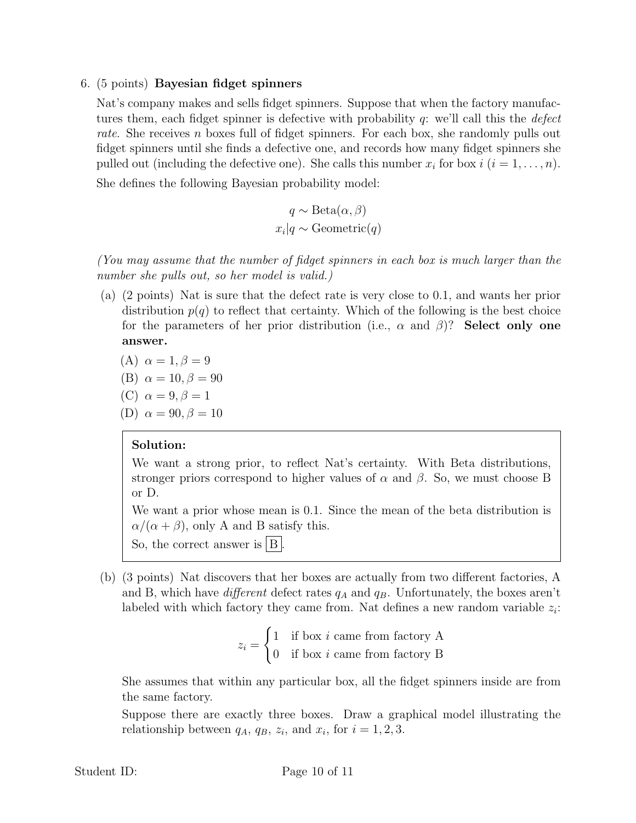#### 6. (5 points) Bayesian fidget spinners

Nat's company makes and sells fidget spinners. Suppose that when the factory manufactures them, each fidget spinner is defective with probability  $q$ : we'll call this the *defect* rate. She receives n boxes full of fidget spinners. For each box, she randomly pulls out fidget spinners until she finds a defective one, and records how many fidget spinners she pulled out (including the defective one). She calls this number  $x_i$  for box  $i$   $(i = 1, \ldots, n)$ . She defines the following Bayesian probability model:

$$
q \sim \text{Beta}(\alpha, \beta)
$$

$$
x_i|q \sim \text{Geometric}(q)
$$

(You may assume that the number of fidget spinners in each box is much larger than the number she pulls out, so her model is valid.)

(a) (2 points) Nat is sure that the defect rate is very close to 0.1, and wants her prior distribution  $p(q)$  to reflect that certainty. Which of the following is the best choice for the parameters of her prior distribution (i.e.,  $\alpha$  and  $\beta$ )? Select only one answer.

(A) 
$$
\alpha = 1, \beta = 9
$$

(B) 
$$
\alpha = 10, \beta = 90
$$

(C) 
$$
\alpha = 9, \beta = 1
$$

(D) 
$$
\alpha = 90, \beta = 10
$$

#### Solution:

We want a strong prior, to reflect Nat's certainty. With Beta distributions, stronger priors correspond to higher values of  $\alpha$  and  $\beta$ . So, we must choose B or D.

We want a prior whose mean is 0.1. Since the mean of the beta distribution is  $\alpha/(\alpha + \beta)$ , only A and B satisfy this.

So, the correct answer is  $|B|$ 

(b) (3 points) Nat discovers that her boxes are actually from two different factories, A and B, which have *different* defect rates  $q_A$  and  $q_B$ . Unfortunately, the boxes aren't labeled with which factory they came from. Nat defines a new random variable  $z_i$ :

$$
z_i = \begin{cases} 1 & \text{if box } i \text{ came from factory A} \\ 0 & \text{if box } i \text{ came from factory B} \end{cases}
$$

She assumes that within any particular box, all the fidget spinners inside are from the same factory.

Suppose there are exactly three boxes. Draw a graphical model illustrating the relationship between  $q_A$ ,  $q_B$ ,  $z_i$ , and  $x_i$ , for  $i = 1, 2, 3$ .